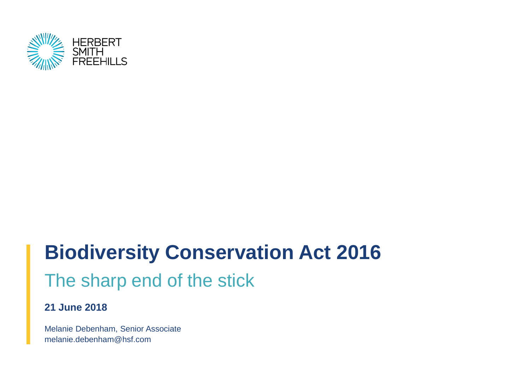

# **Biodiversity Conservation Act 2016** The sharp end of the stick

### **21 June 2018**

Melanie Debenham, Senior Associate melanie.debenham@hsf.com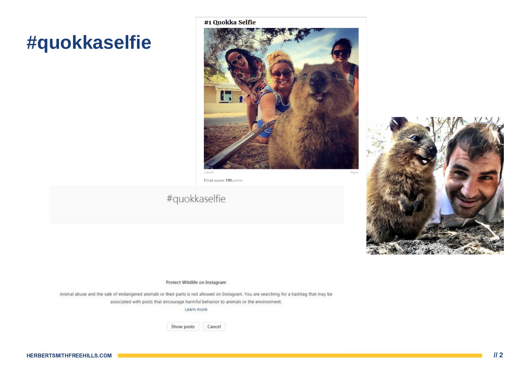## #quokkaselfie

#1 Quokka Selfie



Final score: 153 points

### #quokkaselfie

Protect Wildlife on Instagram

Animal abuse and the sale of endangered animals or their parts is not allowed on Instagram. You are searching for a hashtag that may be associated with posts that encourage harmful behavior to animals or the environment.

Learn more

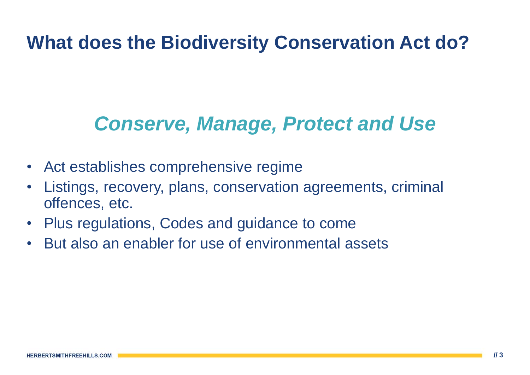# **What does the Biodiversity Conservation Act do?**

# *Conserve, Manage, Protect and Use*

- Act establishes comprehensive regime
- Listings, recovery, plans, conservation agreements, criminal offences, etc.
- Plus regulations, Codes and guidance to come
- But also an enabler for use of environmental assets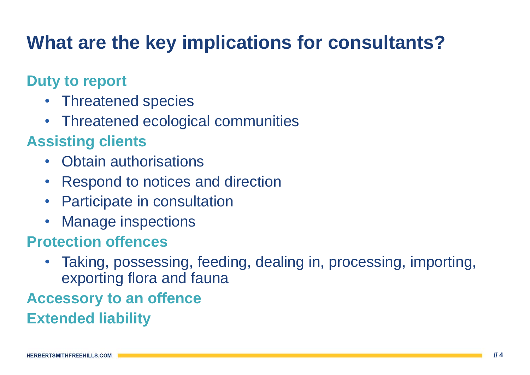# **What are the key implications for consultants?**

### **Duty to report**

- Threatened species
- Threatened ecological communities

### **Assisting clients**

- Obtain authorisations
- Respond to notices and direction
- Participate in consultation
- Manage inspections

### **Protection offences**

• Taking, possessing, feeding, dealing in, processing, importing, exporting flora and fauna

# **Accessory to an offence**

**Extended liability**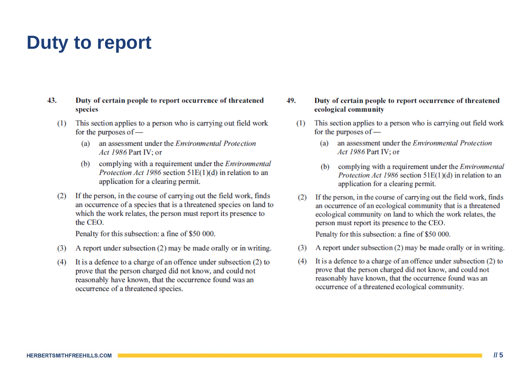## **Duty to report**

- Duty of certain people to report occurrence of threatened 43. species
	- This section applies to a person who is carrying out field work  $(1)$ for the purposes of  $$ 
		- an assessment under the *Environmental Protection* (a) Act 1986 Part IV: or
		- complying with a requirement under the *Environmental* (b) *Protection Act 1986* section  $51E(1)(d)$  in relation to an application for a clearing permit.
	- If the person, in the course of carrying out the field work, finds  $(2)$ an occurrence of a species that is a threatened species on land to which the work relates, the person must report its presence to the CEO

Penalty for this subsection: a fine of \$50 000.

- A report under subsection (2) may be made orally or in writing.  $(3)$
- It is a defence to a charge of an offence under subsection (2) to  $(4)$ prove that the person charged did not know, and could not reasonably have known, that the occurrence found was an occurrence of a threatened species.

49. Duty of certain people to report occurrence of threatened ecological community

- This section applies to a person who is carrying out field work  $(1)$ for the purposes of
	- an assessment under the Environmental Protection  $(a)$ Act 1986 Part IV: or
	- complying with a requirement under the *Environmental*  $(b)$ *Protection Act 1986* section  $51E(1)(d)$  in relation to an application for a clearing permit.
- If the person, in the course of carrying out the field work, finds  $(2)$ an occurrence of an ecological community that is a threatened ecological community on land to which the work relates, the person must report its presence to the CEO.

Penalty for this subsection: a fine of \$50 000.

- A report under subsection  $(2)$  may be made orally or in writing.  $(3)$
- It is a defence to a charge of an offence under subsection (2) to  $(4)$ prove that the person charged did not know, and could not reasonably have known, that the occurrence found was an occurrence of a threatened ecological community.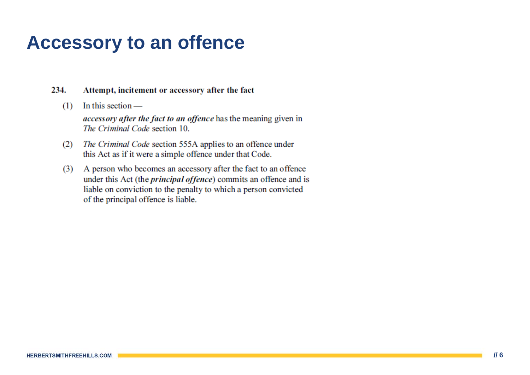### **Accessory to an offence**

#### 234. Attempt, incitement or accessory after the fact

In this section  $(1)$ 

> *accessory after the fact to an offence* has the meaning given in The Criminal Code section 10.

- (2) The Criminal Code section 555A applies to an offence under this Act as if it were a simple offence under that Code.
- (3) A person who becomes an accessory after the fact to an offence under this Act (the *principal offence*) commits an offence and is liable on conviction to the penalty to which a person convicted of the principal offence is liable.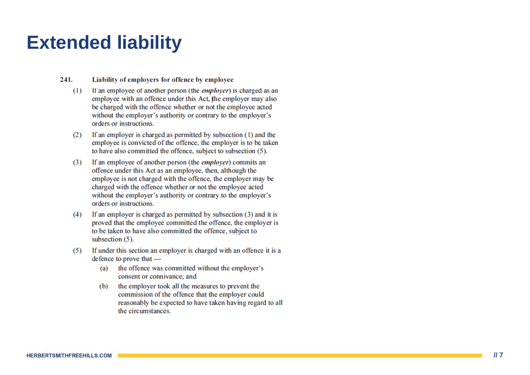## **Extended liability**

241. Liability of employers for offence by employee

- If an employee of another person (the *employer*) is charged as an  $(1)$ employee with an offence under this Act, the employer may also be charged with the offence whether or not the employee acted without the employer's authority or contrary to the employer's orders or instructions.
- If an employer is charged as permitted by subsection (1) and the  $(2)$ employee is convicted of the offence, the employer is to be taken to have also committed the offence, subject to subsection (5).
- If an employee of another person (the *employer*) commits an  $(3)$ offence under this Act as an employee, then, although the employee is not charged with the offence, the employer may be charged with the offence whether or not the employee acted without the employer's authority or contrary to the employer's orders or instructions.
- If an employer is charged as permitted by subsection (3) and it is  $(4)$ proved that the employee committed the offence, the employer is to be taken to have also committed the offence, subject to subsection  $(5)$ .
- If under this section an employer is charged with an offence it is a  $(5)$ defence to prove that
	- the offence was committed without the employer's (a) consent or connivance; and
	- the employer took all the measures to prevent the (b) commission of the offence that the employer could reasonably be expected to have taken having regard to all the circumstances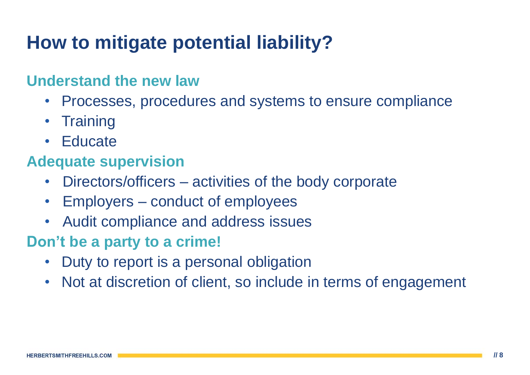# **How to mitigate potential liability?**

### **Understand the new law**

- Processes, procedures and systems to ensure compliance
- Training
- Educate

### **Adequate supervision**

- Directors/officers activities of the body corporate
- Employers conduct of employees
- Audit compliance and address issues

### **Don't be a party to a crime!**

- Duty to report is a personal obligation
- Not at discretion of client, so include in terms of engagement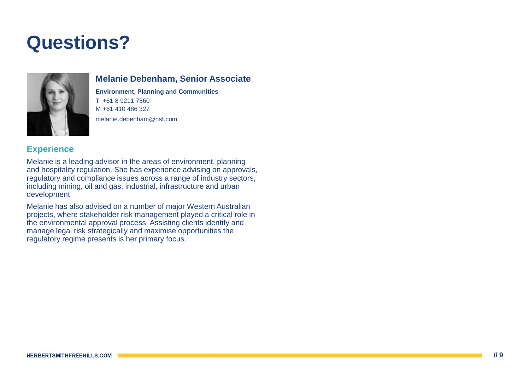# **Questions?**



### **Melanie Debenham, Senior Associate**

**Environment, Planning and Communities** T +61 8 9211 7560 M +61 410 486 327 melanie.debenham@hsf.com

### **Experience**

Melanie is a leading advisor in the areas of environment, planning and hospitality regulation. She has experience advising on approvals, regulatory and compliance issues across a range of industry sectors, including mining, oil and gas, industrial, infrastructure and urban development.

Melanie has also advised on a number of major Western Australian projects, where stakeholder risk management played a critical role in the environmental approval process. Assisting clients identify and manage legal risk strategically and maximise opportunities the regulatory regime presents is her primary focus.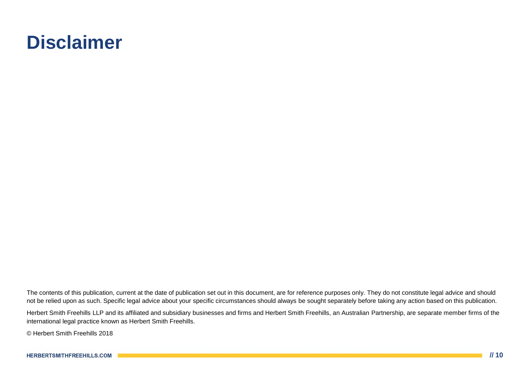### **Disclaimer**

The contents of this publication, current at the date of publication set out in this document, are for reference purposes only. They do not constitute legal advice and should not be relied upon as such. Specific legal advice about your specific circumstances should always be sought separately before taking any action based on this publication.

Herbert Smith Freehills LLP and its affiliated and subsidiary businesses and firms and Herbert Smith Freehills, an Australian Partnership, are separate member firms of the international legal practice known as Herbert Smith Freehills.

© Herbert Smith Freehills 2018